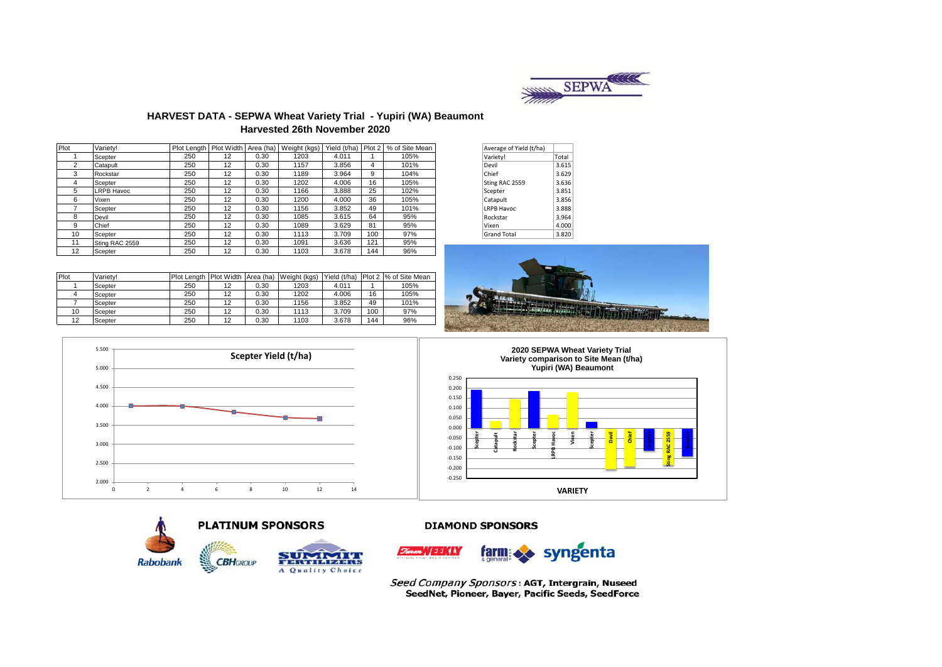

#### **HARVEST DATA - SEPWA Wheat Variety Trial - Yupiri (WA) Beaumont Harvested 26th November 2020**

| Plot | Variety!       |     |    |      | Plot Length   Plot Width   Area (ha)   Weight (kgs) |       |     | Yield (t/ha) Plot 2   % of Site Mean | Average of Yield (t/ha) |       |
|------|----------------|-----|----|------|-----------------------------------------------------|-------|-----|--------------------------------------|-------------------------|-------|
|      | Scepter        | 250 | 12 | 0.30 | 1203                                                | 4.011 |     | 105%                                 | Variety!                | Total |
| 2    | Catapult       | 250 | 12 | 0.30 | 1157                                                | 3.856 | 4   | 101%                                 | Devil                   | 3.615 |
| 3    | Rockstar       | 250 | 12 | 0.30 | 1189                                                | 3.964 | 9   | 104%                                 | Chief                   | 3.629 |
| 4    | Scepter        | 250 | 12 | 0.30 | 1202                                                | 4.006 | 16  | 105%                                 | Sting RAC 2559          | 3.636 |
| 5    | LRPB Havoc     | 250 | 12 | 0.30 | 1166                                                | 3.888 | 25  | 102%                                 | Scepter                 | 3.851 |
| 6    | Vixen          | 250 | 12 | 0.30 | 1200                                                | 4.000 | 36  | 105%                                 | Catapult                | 3.856 |
|      | Scepter        | 250 | 12 | 0.30 | 1156                                                | 3.852 | 49  | 101%                                 | <b>LRPB Havoc</b>       | 3.888 |
| 8    | Devil          | 250 | 12 | 0.30 | 1085                                                | 3.615 | 64  | 95%                                  | Rockstar                | 3.964 |
| 9    | Chief          | 250 | 12 | 0.30 | 1089                                                | 3.629 | 81  | 95%                                  | Vixen                   | 4.000 |
| 10   | Scepter        | 250 | 12 | 0.30 | 1113                                                | 3.709 | 100 | 97%                                  | <b>Grand Total</b>      | 3.820 |
| 11   | Sting RAC 2559 | 250 | 12 | 0.30 | 1091                                                | 3.636 | 121 | 95%                                  |                         |       |
| 12   | Scepter        | 250 | 12 | 0.30 | 1103                                                | 3.678 | 144 | 96%                                  |                         |       |

| Average of Yield (t/ha) |       |
|-------------------------|-------|
| Variety!                | Total |
| Devil                   | 3.615 |
| Chief                   | 3.629 |
| Sting RAC 2559          | 3.636 |
| Scepter                 | 3.851 |
| Catapult                | 3.856 |
| <b>LRPB Havoc</b>       | 3.888 |
| Rockstar                | 3.964 |
| Vixen                   | 4.000 |
| <b>Grand Total</b>      | 3.820 |

|    |      | Weight (kgs)         | Yield (t/ha) |     | Plot 2 % of Site Mean |
|----|------|----------------------|--------------|-----|-----------------------|
| 12 | 0.30 | 1203                 | 4.011        |     | 105%                  |
| 12 | 0.30 | 1202                 | 4.006        | 16  | 105%                  |
| 12 | 0.30 | 1156                 | 3.852        | 49  | 101%                  |
| 12 | 0.30 | 1113                 | 3.709        | 100 | 97%                   |
| 12 | 0.30 | 1103                 | 3.678        | 144 | 96%                   |
|    |      | Plot Width Area (ha) |              |     |                       |





**2020 SEPWA Wheat Variety Trial Variety comparison to Site Mean (t/ha) Yupiri (WA) Beaumont**







## syngenta farm:

Seed Company Sponsors: AGT, Intergrain, Nuseed SeedNet, Pioneer, Bayer, Pacific Seeds, SeedForce

**DIAMOND SPONSORS**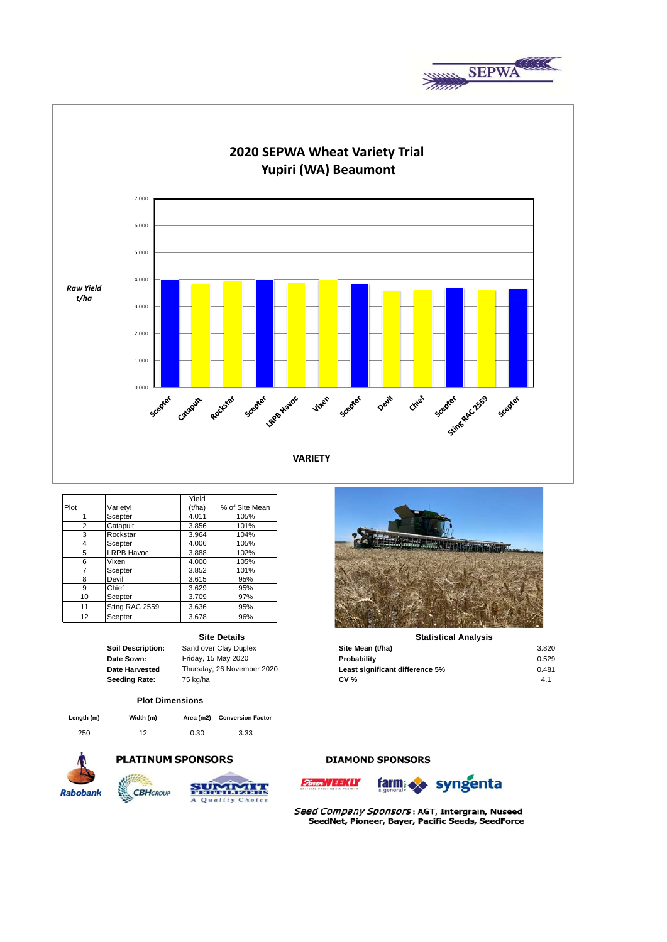



|      |                   | Yield  |                |
|------|-------------------|--------|----------------|
| Plot | Variety!          | (t/ha) | % of Site Mean |
|      | Scepter           | 4.011  | 105%           |
| 2    | Catapult          | 3.856  | 101%           |
| 3    | Rockstar          | 3.964  | 104%           |
| 4    | Scepter           | 4.006  | 105%           |
| 5    | <b>LRPB Havoc</b> | 3.888  | 102%           |
| 6    | Vixen             | 4.000  | 105%           |
|      | Scepter           | 3.852  | 101%           |
| 8    | Devil             | 3.615  | 95%            |
| 9    | Chief             | 3.629  | 95%            |
| 10   | Scepter           | 3.709  | 97%            |
| 11   | Sting RAC 2559    | 3.636  | 95%            |
| 12   | Scepter           | 3.678  | 96%            |

#### **Site Details**

**Soil Description:** Sand over Clay Duplex<br>**Date Sown:** Friday, 15 May 2020

#### **Plot Dimensions**

| Length (m) | Width (m) |      | <b>Conversion Factor</b> |  |
|------------|-----------|------|--------------------------|--|
| 250        | 12        | 0.30 | 3.33                     |  |



#### **PLATINUM SPONSORS**





# **DIAMOND SPONSORS**



Seed Company Sponsors: AGT, Intergrain, Nuseed SeedNet, Pioneer, Bayer, Pacific Seeds, SeedForce



#### **Statistical Analysis**

| Soil Description:     | Sand over Clay Duplex      | Site Mean (t/ha)                | 3.820 |
|-----------------------|----------------------------|---------------------------------|-------|
| Date Sown:            | Friday, 15 May 2020        | Probability                     | 0.529 |
| <b>Date Harvested</b> | Thursday, 26 November 2020 | Least significant difference 5% | 0.481 |
| Seeding Rate:         | 75 ka/ha                   | <b>CV %</b>                     | 4.1   |
|                       |                            |                                 |       |